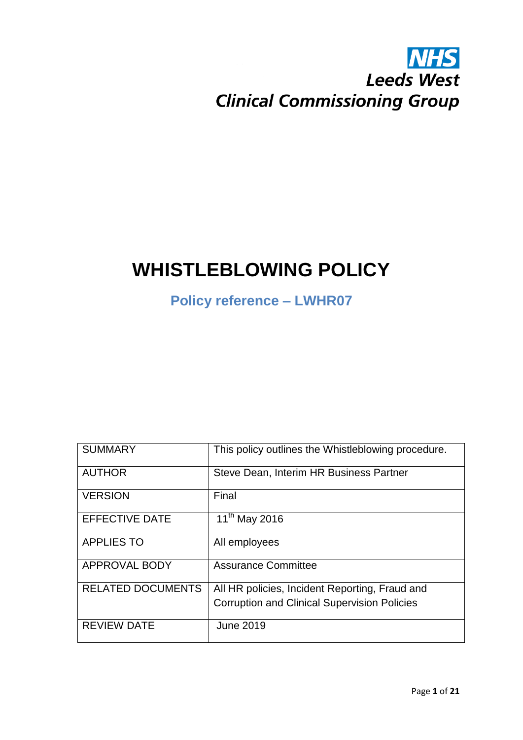## **NHS Leeds West Clinical Commissioning Group**

# **WHISTLEBLOWING POLICY**

**Policy reference – LWHR07**

| <b>SUMMARY</b>           | This policy outlines the Whistleblowing procedure.  |
|--------------------------|-----------------------------------------------------|
| <b>AUTHOR</b>            | Steve Dean, Interim HR Business Partner             |
| <b>VERSION</b>           | Final                                               |
| <b>EFFECTIVE DATE</b>    | $11^{th}$ May 2016                                  |
| <b>APPLIES TO</b>        | All employees                                       |
| <b>APPROVAL BODY</b>     | <b>Assurance Committee</b>                          |
| <b>RELATED DOCUMENTS</b> | All HR policies, Incident Reporting, Fraud and      |
|                          | <b>Corruption and Clinical Supervision Policies</b> |
| <b>REVIEW DATE</b>       | <b>June 2019</b>                                    |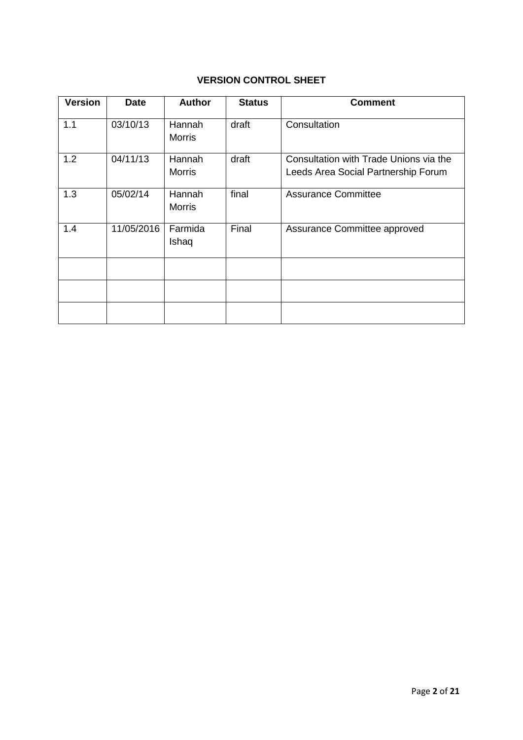## **VERSION CONTROL SHEET**

| <b>Version</b> | <b>Date</b> | <b>Author</b>           | <b>Status</b> | <b>Comment</b>                                                                |
|----------------|-------------|-------------------------|---------------|-------------------------------------------------------------------------------|
| 1.1            | 03/10/13    | Hannah<br><b>Morris</b> | draft         | Consultation                                                                  |
| 1.2            | 04/11/13    | Hannah<br>Morris        | draft         | Consultation with Trade Unions via the<br>Leeds Area Social Partnership Forum |
| 1.3            | 05/02/14    | Hannah<br><b>Morris</b> | final         | <b>Assurance Committee</b>                                                    |
| 1.4            | 11/05/2016  | Farmida<br>Ishaq        | Final         | Assurance Committee approved                                                  |
|                |             |                         |               |                                                                               |
|                |             |                         |               |                                                                               |
|                |             |                         |               |                                                                               |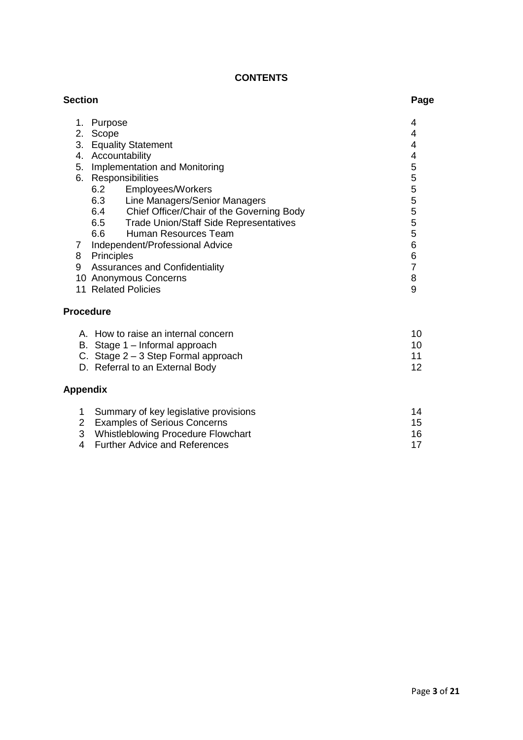## **CONTENTS**

| <b>Section</b>                                   |                                                                                                                                                                                                                                                                                                                                                                                                                                                                              | Page                                                                                      |
|--------------------------------------------------|------------------------------------------------------------------------------------------------------------------------------------------------------------------------------------------------------------------------------------------------------------------------------------------------------------------------------------------------------------------------------------------------------------------------------------------------------------------------------|-------------------------------------------------------------------------------------------|
| 1.<br>2.<br>4.<br>5.<br>7 <sup>1</sup><br>8<br>9 | Purpose<br>Scope<br>3. Equality Statement<br>Accountability<br><b>Implementation and Monitoring</b><br>6. Responsibilities<br>6.2<br>Employees/Workers<br>6.3<br>Line Managers/Senior Managers<br>6.4<br>Chief Officer/Chair of the Governing Body<br>6.5<br><b>Trade Union/Staff Side Representatives</b><br>6.6<br>Human Resources Team<br>Independent/Professional Advice<br>Principles<br>Assurances and Confidentiality<br>10 Anonymous Concerns<br>11 Related Policies | 4<br>4<br>4<br>4<br>5<br>5<br>5<br>5<br>5<br>5<br>5<br>6<br>6<br>$\overline{7}$<br>8<br>9 |
| <b>Procedure</b>                                 |                                                                                                                                                                                                                                                                                                                                                                                                                                                                              |                                                                                           |
|                                                  | A. How to raise an internal concern<br>B. Stage 1 - Informal approach<br>C. Stage 2 - 3 Step Formal approach<br>D. Referral to an External Body                                                                                                                                                                                                                                                                                                                              | 10<br>10<br>11<br>12                                                                      |
| <b>Appendix</b>                                  |                                                                                                                                                                                                                                                                                                                                                                                                                                                                              |                                                                                           |
| 1<br>$\overline{2}$<br>3<br>4                    | Summary of key legislative provisions<br><b>Examples of Serious Concerns</b><br>Whistleblowing Procedure Flowchart<br><b>Further Advice and References</b>                                                                                                                                                                                                                                                                                                                   | 14<br>15<br>16<br>17                                                                      |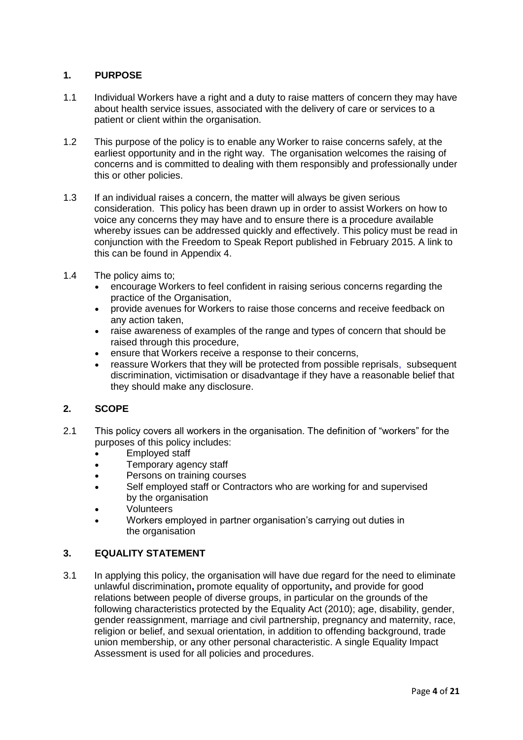## **1. PURPOSE**

- 1.1 Individual Workers have a right and a duty to raise matters of concern they may have about health service issues, associated with the delivery of care or services to a patient or client within the organisation.
- 1.2 This purpose of the policy is to enable any Worker to raise concerns safely, at the earliest opportunity and in the right way. The organisation welcomes the raising of concerns and is committed to dealing with them responsibly and professionally under this or other policies.
- 1.3 If an individual raises a concern, the matter will always be given serious consideration. This policy has been drawn up in order to assist Workers on how to voice any concerns they may have and to ensure there is a procedure available whereby issues can be addressed quickly and effectively. This policy must be read in conjunction with the Freedom to Speak Report published in February 2015. A link to this can be found in Appendix 4.
- 1.4 The policy aims to;
	- encourage Workers to feel confident in raising serious concerns regarding the practice of the Organisation,
	- provide avenues for Workers to raise those concerns and receive feedback on any action taken,
	- raise awareness of examples of the range and types of concern that should be raised through this procedure,
	- ensure that Workers receive a response to their concerns,
	- reassure Workers that they will be protected from possible reprisals, subsequent discrimination, victimisation or disadvantage if they have a reasonable belief that they should make any disclosure.

## **2. SCOPE**

- 2.1 This policy covers all workers in the organisation. The definition of "workers" for the purposes of this policy includes:
	- Employed staff
	- Temporary agency staff
	- Persons on training courses
	- Self employed staff or Contractors who are working for and supervised by the organisation
	- Volunteers
	- Workers employed in partner organisation's carrying out duties in the organisation

## **3. EQUALITY STATEMENT**

3.1 In applying this policy, the organisation will have due regard for the need to eliminate unlawful discrimination**,** promote equality of opportunity**,** and provide for good relations between people of diverse groups, in particular on the grounds of the following characteristics protected by the Equality Act (2010); age, disability, gender, gender reassignment, marriage and civil partnership, pregnancy and maternity, race, religion or belief, and sexual orientation, in addition to offending background, trade union membership, or any other personal characteristic. A single Equality Impact Assessment is used for all policies and procedures.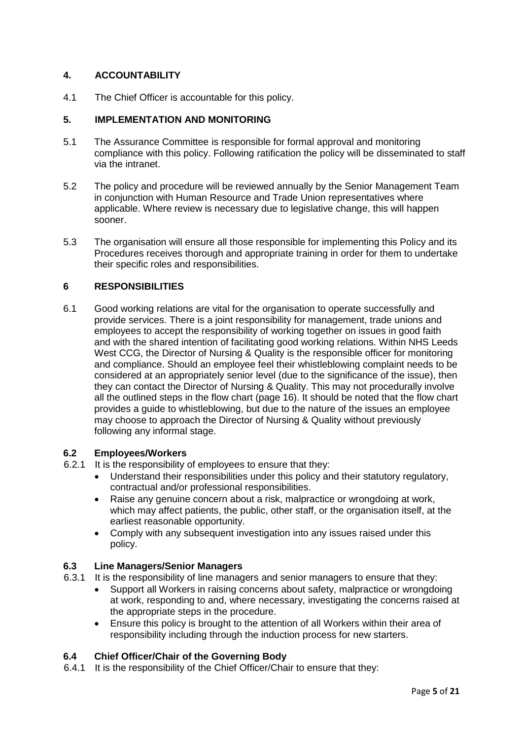## **4. ACCOUNTABILITY**

4.1 The Chief Officer is accountable for this policy.

## **5. IMPLEMENTATION AND MONITORING**

- 5.1 The Assurance Committee is responsible for formal approval and monitoring compliance with this policy. Following ratification the policy will be disseminated to staff via the intranet.
- 5.2 The policy and procedure will be reviewed annually by the Senior Management Team in conjunction with Human Resource and Trade Union representatives where applicable. Where review is necessary due to legislative change, this will happen sooner.
- 5.3 The organisation will ensure all those responsible for implementing this Policy and its Procedures receives thorough and appropriate training in order for them to undertake their specific roles and responsibilities.

## **6 RESPONSIBILITIES**

6.1 Good working relations are vital for the organisation to operate successfully and provide services. There is a joint responsibility for management, trade unions and employees to accept the responsibility of working together on issues in good faith and with the shared intention of facilitating good working relations. Within NHS Leeds West CCG, the Director of Nursing & Quality is the responsible officer for monitoring and compliance. Should an employee feel their whistleblowing complaint needs to be considered at an appropriately senior level (due to the significance of the issue), then they can contact the Director of Nursing & Quality. This may not procedurally involve all the outlined steps in the flow chart (page 16). It should be noted that the flow chart provides a guide to whistleblowing, but due to the nature of the issues an employee may choose to approach the Director of Nursing & Quality without previously following any informal stage.

## **6.2 Employees/Workers**

- 6.2.1 It is the responsibility of employees to ensure that they:
	- Understand their responsibilities under this policy and their statutory regulatory, contractual and/or professional responsibilities.
	- Raise any genuine concern about a risk, malpractice or wrongdoing at work, which may affect patients, the public, other staff, or the organisation itself, at the earliest reasonable opportunity.
	- Comply with any subsequent investigation into any issues raised under this policy.

## **6.3 Line Managers/Senior Managers**

- 6.3.1 It is the responsibility of line managers and senior managers to ensure that they:
	- Support all Workers in raising concerns about safety, malpractice or wrongdoing at work, responding to and, where necessary, investigating the concerns raised at the appropriate steps in the procedure.
	- Ensure this policy is brought to the attention of all Workers within their area of responsibility including through the induction process for new starters.

## **6.4 Chief Officer/Chair of the Governing Body**

6.4.1 It is the responsibility of the Chief Officer/Chair to ensure that they: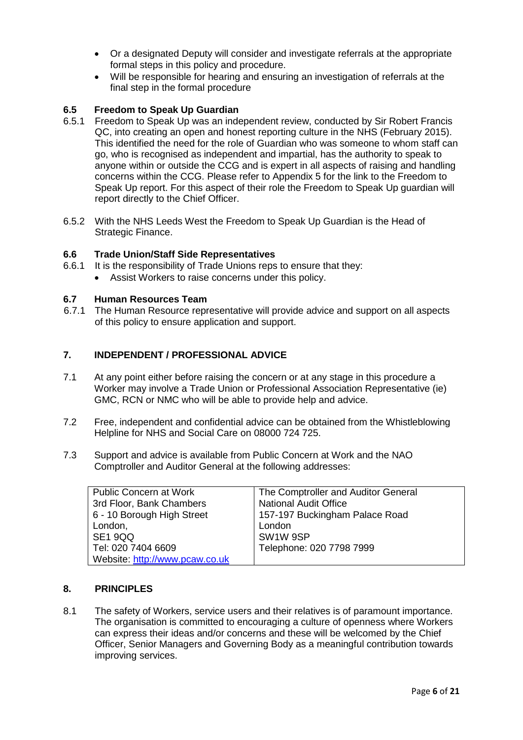- Or a designated Deputy will consider and investigate referrals at the appropriate formal steps in this policy and procedure.
- Will be responsible for hearing and ensuring an investigation of referrals at the final step in the formal procedure

## **6.5 Freedom to Speak Up Guardian**

- 6.5.1 Freedom to Speak Up was an independent review, conducted by Sir Robert Francis QC, into creating an open and honest reporting culture in the NHS (February 2015). This identified the need for the role of Guardian who was someone to whom staff can go, who is recognised as independent and impartial, has the authority to speak to anyone within or outside the CCG and is expert in all aspects of raising and handling concerns within the CCG. Please refer to Appendix 5 for the link to the Freedom to Speak Up report. For this aspect of their role the Freedom to Speak Up guardian will report directly to the Chief Officer.
- 6.5.2 With the NHS Leeds West the Freedom to Speak Up Guardian is the Head of Strategic Finance.

#### **6.6 Trade Union/Staff Side Representatives**

- 6.6.1 It is the responsibility of Trade Unions reps to ensure that they:
	- Assist Workers to raise concerns under this policy.

#### **6.7 Human Resources Team**

6.7.1 The Human Resource representative will provide advice and support on all aspects of this policy to ensure application and support.

## **7. INDEPENDENT / PROFESSIONAL ADVICE**

- 7.1 At any point either before raising the concern or at any stage in this procedure a Worker may involve a Trade Union or Professional Association Representative (ie) GMC, RCN or NMC who will be able to provide help and advice.
- 7.2 Free, independent and confidential advice can be obtained from the Whistleblowing Helpline for NHS and Social Care on 08000 724 725.
- 7.3 Support and advice is available from Public Concern at Work and the NAO Comptroller and Auditor General at the following addresses:

| Public Concern at Work         | The Comptroller and Auditor General |
|--------------------------------|-------------------------------------|
| 3rd Floor, Bank Chambers       | <b>National Audit Office</b>        |
| 6 - 10 Borough High Street     | 157-197 Buckingham Palace Road      |
| London,                        | London                              |
| SE1 9QQ                        | SW1W 9SP                            |
| Tel: 020 7404 6609             | Telephone: 020 7798 7999            |
| Website: http://www.pcaw.co.uk |                                     |

#### **8. PRINCIPLES**

8.1 The safety of Workers, service users and their relatives is of paramount importance. The organisation is committed to encouraging a culture of openness where Workers can express their ideas and/or concerns and these will be welcomed by the Chief Officer, Senior Managers and Governing Body as a meaningful contribution towards improving services.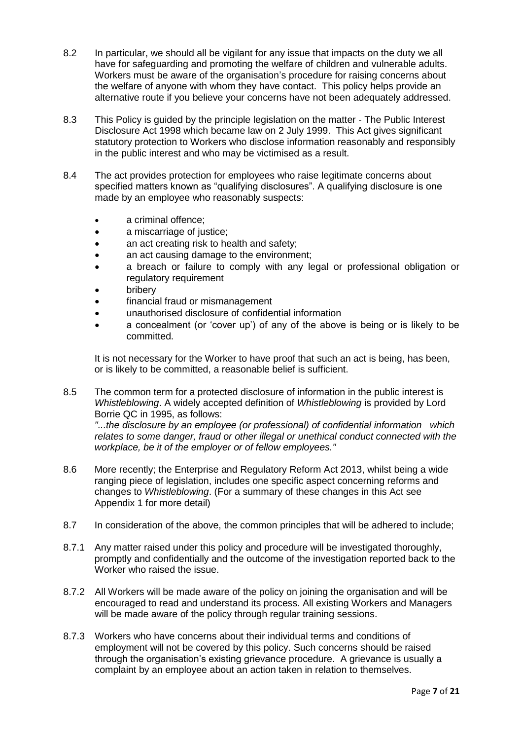- 8.2 In particular, we should all be vigilant for any issue that impacts on the duty we all have for safeguarding and promoting the welfare of children and vulnerable adults. Workers must be aware of the organisation's procedure for raising concerns about the welfare of anyone with whom they have contact. This policy helps provide an alternative route if you believe your concerns have not been adequately addressed.
- 8.3 This Policy is guided by the principle legislation on the matter The Public Interest Disclosure Act 1998 which became law on 2 July 1999. This Act gives significant statutory protection to Workers who disclose information reasonably and responsibly in the public interest and who may be victimised as a result.
- 8.4 The act provides protection for employees who raise legitimate concerns about specified matters known as "qualifying disclosures". A qualifying disclosure is one made by an employee who reasonably suspects:
	- a criminal offence;
	- a miscarriage of justice:
	- an act creating risk to health and safety;
	- an act causing damage to the environment;
	- a breach or failure to comply with any legal or professional obligation or regulatory requirement
	- bribery
	- financial fraud or mismanagement
	- unauthorised disclosure of confidential information
	- a concealment (or 'cover up') of any of the above is being or is likely to be committed.

It is not necessary for the Worker to have proof that such an act is being, has been, or is likely to be committed, a reasonable belief is sufficient.

8.5 The common term for a protected disclosure of information in the public interest is *Whistleblowing*. A widely accepted definition of *Whistleblowing* is provided by Lord Borrie QC in 1995, as follows:

*"...the disclosure by an employee (or professional) of confidential information which relates to some danger, fraud or other illegal or unethical conduct connected with the workplace, be it of the employer or of fellow employees."* 

- 8.6 More recently; the Enterprise and Regulatory Reform Act 2013, whilst being a wide ranging piece of legislation, includes one specific aspect concerning reforms and changes to *Whistleblowing*. (For a summary of these changes in this Act see Appendix 1 for more detail)
- 8.7 In consideration of the above, the common principles that will be adhered to include;
- 8.7.1 Any matter raised under this policy and procedure will be investigated thoroughly, promptly and confidentially and the outcome of the investigation reported back to the Worker who raised the issue.
- 8.7.2 All Workers will be made aware of the policy on joining the organisation and will be encouraged to read and understand its process. All existing Workers and Managers will be made aware of the policy through regular training sessions.
- 8.7.3 Workers who have concerns about their individual terms and conditions of employment will not be covered by this policy. Such concerns should be raised through the organisation's existing grievance procedure. A grievance is usually a complaint by an employee about an action taken in relation to themselves.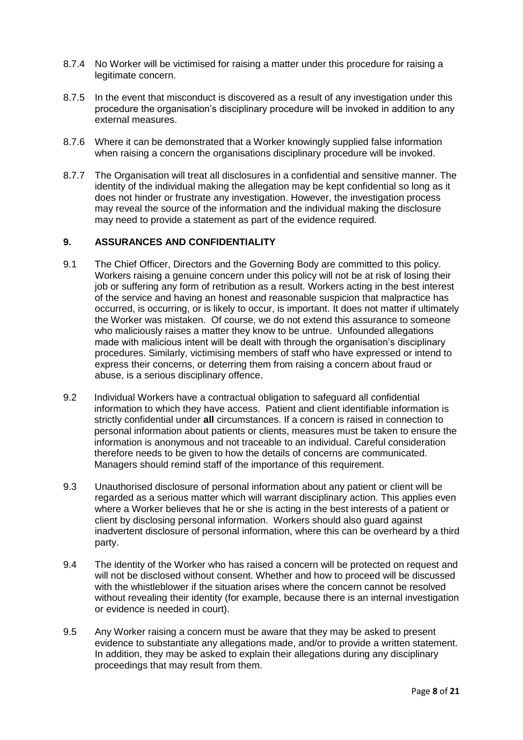- 8.7.4 No Worker will be victimised for raising a matter under this procedure for raising a legitimate concern.
- 8.7.5 In the event that misconduct is discovered as a result of any investigation under this procedure the organisation's disciplinary procedure will be invoked in addition to any external measures.
- 8.7.6 Where it can be demonstrated that a Worker knowingly supplied false information when raising a concern the organisations disciplinary procedure will be invoked.
- 8.7.7 The Organisation will treat all disclosures in a confidential and sensitive manner. The identity of the individual making the allegation may be kept confidential so long as it does not hinder or frustrate any investigation. However, the investigation process may reveal the source of the information and the individual making the disclosure may need to provide a statement as part of the evidence required.

## **9. ASSURANCES AND CONFIDENTIALITY**

- 9.1 The Chief Officer, Directors and the Governing Body are committed to this policy. Workers raising a genuine concern under this policy will not be at risk of losing their job or suffering any form of retribution as a result. Workers acting in the best interest of the service and having an honest and reasonable suspicion that malpractice has occurred, is occurring, or is likely to occur, is important. It does not matter if ultimately the Worker was mistaken. Of course, we do not extend this assurance to someone who maliciously raises a matter they know to be untrue. Unfounded allegations made with malicious intent will be dealt with through the organisation's disciplinary procedures. Similarly, victimising members of staff who have expressed or intend to express their concerns, or deterring them from raising a concern about fraud or abuse, is a serious disciplinary offence.
- 9.2 Individual Workers have a contractual obligation to safeguard all confidential information to which they have access. Patient and client identifiable information is strictly confidential under **all** circumstances. If a concern is raised in connection to personal information about patients or clients, measures must be taken to ensure the information is anonymous and not traceable to an individual. Careful consideration therefore needs to be given to how the details of concerns are communicated. Managers should remind staff of the importance of this requirement.
- 9.3 Unauthorised disclosure of personal information about any patient or client will be regarded as a serious matter which will warrant disciplinary action. This applies even where a Worker believes that he or she is acting in the best interests of a patient or client by disclosing personal information. Workers should also guard against inadvertent disclosure of personal information, where this can be overheard by a third party.
- 9.4 The identity of the Worker who has raised a concern will be protected on request and will not be disclosed without consent. Whether and how to proceed will be discussed with the whistleblower if the situation arises where the concern cannot be resolved without revealing their identity (for example, because there is an internal investigation or evidence is needed in court).
- 9.5 Any Worker raising a concern must be aware that they may be asked to present evidence to substantiate any allegations made, and/or to provide a written statement. In addition, they may be asked to explain their allegations during any disciplinary proceedings that may result from them.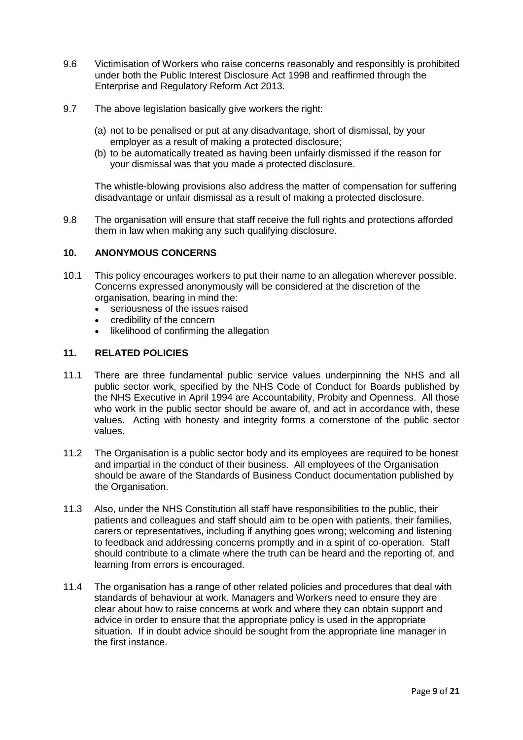- 9.6 Victimisation of Workers who raise concerns reasonably and responsibly is prohibited under both the Public Interest Disclosure Act 1998 and reaffirmed through the Enterprise and Regulatory Reform Act 2013.
- 9.7 The above legislation basically give workers the right:
	- (a) not to be penalised or put at any disadvantage, short of dismissal, by your employer as a result of making a protected disclosure;
	- (b) to be automatically treated as having been unfairly dismissed if the reason for your dismissal was that you made a protected disclosure.

The whistle-blowing provisions also address the matter of compensation for suffering disadvantage or unfair dismissal as a result of making a protected disclosure.

9.8 The organisation will ensure that staff receive the full rights and protections afforded them in law when making any such qualifying disclosure.

## **10. ANONYMOUS CONCERNS**

- 10.1 This policy encourages workers to put their name to an allegation wherever possible. Concerns expressed anonymously will be considered at the discretion of the organisation, bearing in mind the:
	- seriousness of the issues raised
	- credibility of the concern
	- likelihood of confirming the allegation

#### **11. RELATED POLICIES**

- 11.1 There are three fundamental public service values underpinning the NHS and all public sector work, specified by the NHS Code of Conduct for Boards published by the NHS Executive in April 1994 are Accountability, Probity and Openness. All those who work in the public sector should be aware of, and act in accordance with, these values. Acting with honesty and integrity forms a cornerstone of the public sector values.
- 11.2 The Organisation is a public sector body and its employees are required to be honest and impartial in the conduct of their business. All employees of the Organisation should be aware of the Standards of Business Conduct documentation published by the Organisation.
- 11.3 Also, under the NHS Constitution all staff have responsibilities to the public, their patients and colleagues and staff should aim to be open with patients, their families, carers or representatives, including if anything goes wrong; welcoming and listening to feedback and addressing concerns promptly and in a spirit of co-operation. Staff should contribute to a climate where the truth can be heard and the reporting of, and learning from errors is encouraged.
- 11.4 The organisation has a range of other related policies and procedures that deal with standards of behaviour at work. Managers and Workers need to ensure they are clear about how to raise concerns at work and where they can obtain support and advice in order to ensure that the appropriate policy is used in the appropriate situation. If in doubt advice should be sought from the appropriate line manager in the first instance.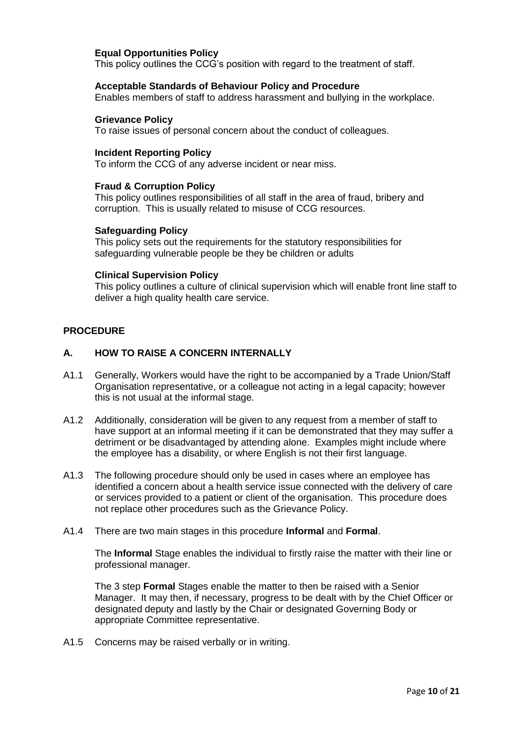#### **Equal Opportunities Policy**

This policy outlines the CCG's position with regard to the treatment of staff.

#### **Acceptable Standards of Behaviour Policy and Procedure**

Enables members of staff to address harassment and bullying in the workplace.

#### **Grievance Policy**

To raise issues of personal concern about the conduct of colleagues.

#### **Incident Reporting Policy**

To inform the CCG of any adverse incident or near miss.

#### **Fraud & Corruption Policy**

This policy outlines responsibilities of all staff in the area of fraud, bribery and corruption. This is usually related to misuse of CCG resources.

#### **Safeguarding Policy**

This policy sets out the requirements for the statutory responsibilities for safeguarding vulnerable people be they be children or adults

#### **Clinical Supervision Policy**

This policy outlines a culture of clinical supervision which will enable front line staff to deliver a high quality health care service.

## **PROCEDURE**

## **A. HOW TO RAISE A CONCERN INTERNALLY**

- A1.1 Generally, Workers would have the right to be accompanied by a Trade Union/Staff Organisation representative, or a colleague not acting in a legal capacity; however this is not usual at the informal stage.
- A1.2 Additionally, consideration will be given to any request from a member of staff to have support at an informal meeting if it can be demonstrated that they may suffer a detriment or be disadvantaged by attending alone. Examples might include where the employee has a disability, or where English is not their first language.
- A1.3 The following procedure should only be used in cases where an employee has identified a concern about a health service issue connected with the delivery of care or services provided to a patient or client of the organisation. This procedure does not replace other procedures such as the Grievance Policy.
- A1.4 There are two main stages in this procedure **Informal** and **Formal**.

The **Informal** Stage enables the individual to firstly raise the matter with their line or professional manager.

The 3 step **Formal** Stages enable the matter to then be raised with a Senior Manager. It may then, if necessary, progress to be dealt with by the Chief Officer or designated deputy and lastly by the Chair or designated Governing Body or appropriate Committee representative.

A1.5 Concerns may be raised verbally or in writing.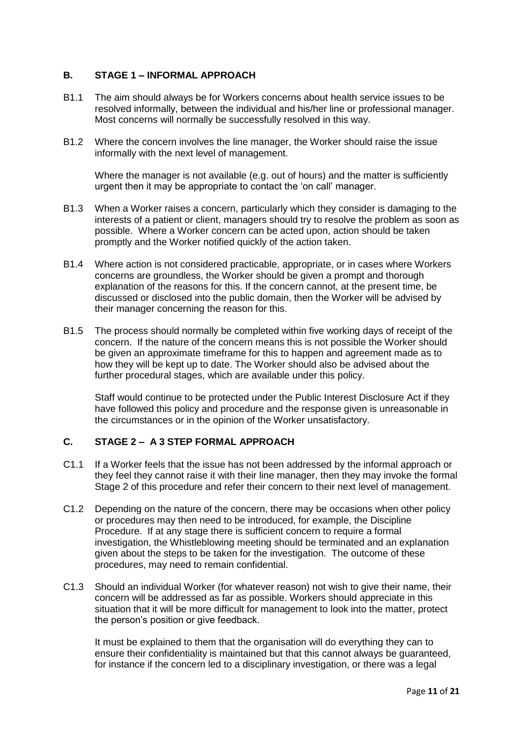## **B. STAGE 1 – INFORMAL APPROACH**

- B1.1 The aim should always be for Workers concerns about health service issues to be resolved informally, between the individual and his/her line or professional manager. Most concerns will normally be successfully resolved in this way.
- B1.2 Where the concern involves the line manager, the Worker should raise the issue informally with the next level of management.

Where the manager is not available (e.g. out of hours) and the matter is sufficiently urgent then it may be appropriate to contact the 'on call' manager.

- B1.3 When a Worker raises a concern, particularly which they consider is damaging to the interests of a patient or client, managers should try to resolve the problem as soon as possible. Where a Worker concern can be acted upon, action should be taken promptly and the Worker notified quickly of the action taken.
- B1.4 Where action is not considered practicable, appropriate, or in cases where Workers concerns are groundless, the Worker should be given a prompt and thorough explanation of the reasons for this. If the concern cannot, at the present time, be discussed or disclosed into the public domain, then the Worker will be advised by their manager concerning the reason for this.
- B1.5 The process should normally be completed within five working days of receipt of the concern. If the nature of the concern means this is not possible the Worker should be given an approximate timeframe for this to happen and agreement made as to how they will be kept up to date. The Worker should also be advised about the further procedural stages, which are available under this policy.

Staff would continue to be protected under the Public Interest Disclosure Act if they have followed this policy and procedure and the response given is unreasonable in the circumstances or in the opinion of the Worker unsatisfactory.

## **C. STAGE 2 – A 3 STEP FORMAL APPROACH**

- C1.1 If a Worker feels that the issue has not been addressed by the informal approach or they feel they cannot raise it with their line manager, then they may invoke the formal Stage 2 of this procedure and refer their concern to their next level of management.
- C1.2 Depending on the nature of the concern, there may be occasions when other policy or procedures may then need to be introduced, for example, the Discipline Procedure. If at any stage there is sufficient concern to require a formal investigation, the Whistleblowing meeting should be terminated and an explanation given about the steps to be taken for the investigation. The outcome of these procedures, may need to remain confidential.
- C1.3 Should an individual Worker (for whatever reason) not wish to give their name, their concern will be addressed as far as possible. Workers should appreciate in this situation that it will be more difficult for management to look into the matter, protect the person's position or give feedback.

It must be explained to them that the organisation will do everything they can to ensure their confidentiality is maintained but that this cannot always be guaranteed, for instance if the concern led to a disciplinary investigation, or there was a legal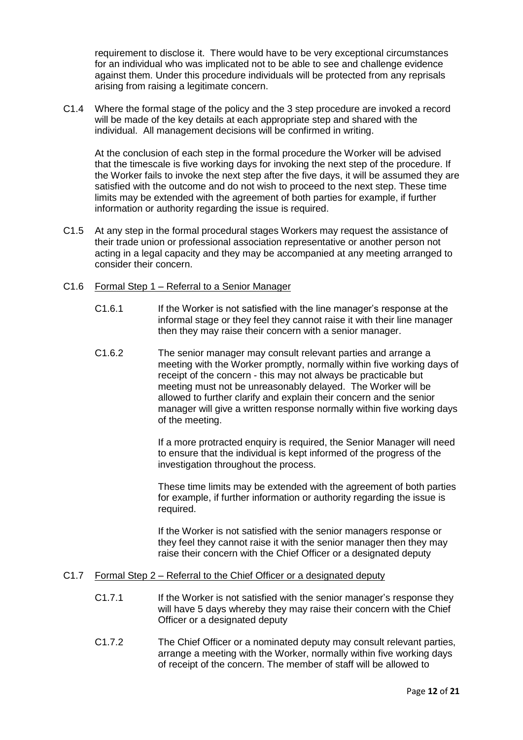requirement to disclose it. There would have to be very exceptional circumstances for an individual who was implicated not to be able to see and challenge evidence against them. Under this procedure individuals will be protected from any reprisals arising from raising a legitimate concern.

C1.4 Where the formal stage of the policy and the 3 step procedure are invoked a record will be made of the key details at each appropriate step and shared with the individual. All management decisions will be confirmed in writing.

At the conclusion of each step in the formal procedure the Worker will be advised that the timescale is five working days for invoking the next step of the procedure. If the Worker fails to invoke the next step after the five days, it will be assumed they are satisfied with the outcome and do not wish to proceed to the next step. These time limits may be extended with the agreement of both parties for example, if further information or authority regarding the issue is required.

C1.5 At any step in the formal procedural stages Workers may request the assistance of their trade union or professional association representative or another person not acting in a legal capacity and they may be accompanied at any meeting arranged to consider their concern.

#### C1.6 Formal Step 1 – Referral to a Senior Manager

- C1.6.1 If the Worker is not satisfied with the line manager's response at the informal stage or they feel they cannot raise it with their line manager then they may raise their concern with a senior manager.
- C1.6.2 The senior manager may consult relevant parties and arrange a meeting with the Worker promptly, normally within five working days of receipt of the concern - this may not always be practicable but meeting must not be unreasonably delayed. The Worker will be allowed to further clarify and explain their concern and the senior manager will give a written response normally within five working days of the meeting.

If a more protracted enquiry is required, the Senior Manager will need to ensure that the individual is kept informed of the progress of the investigation throughout the process.

These time limits may be extended with the agreement of both parties for example, if further information or authority regarding the issue is required.

If the Worker is not satisfied with the senior managers response or they feel they cannot raise it with the senior manager then they may raise their concern with the Chief Officer or a designated deputy

## C1.7 Formal Step 2 – Referral to the Chief Officer or a designated deputy

- C1.7.1 If the Worker is not satisfied with the senior manager's response they will have 5 days whereby they may raise their concern with the Chief Officer or a designated deputy
- C1.7.2 The Chief Officer or a nominated deputy may consult relevant parties, arrange a meeting with the Worker, normally within five working days of receipt of the concern. The member of staff will be allowed to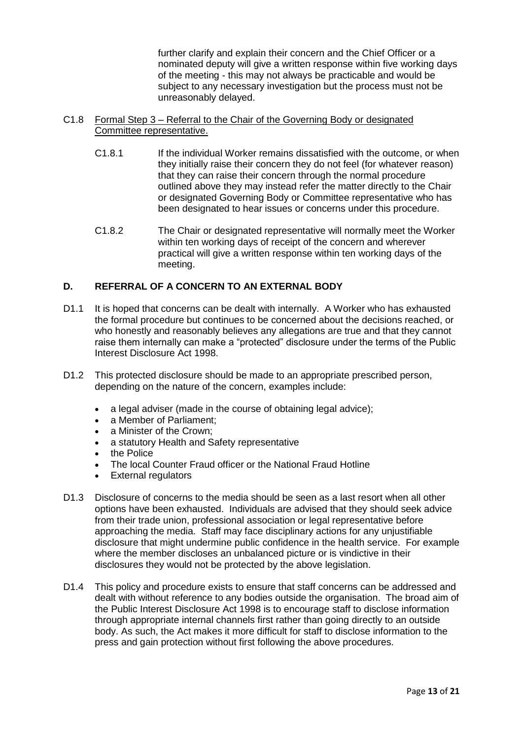further clarify and explain their concern and the Chief Officer or a nominated deputy will give a written response within five working days of the meeting - this may not always be practicable and would be subject to any necessary investigation but the process must not be unreasonably delayed.

## C1.8 Formal Step 3 – Referral to the Chair of the Governing Body or designated Committee representative.

- C1.8.1 If the individual Worker remains dissatisfied with the outcome, or when they initially raise their concern they do not feel (for whatever reason) that they can raise their concern through the normal procedure outlined above they may instead refer the matter directly to the Chair or designated Governing Body or Committee representative who has been designated to hear issues or concerns under this procedure.
- C1.8.2 The Chair or designated representative will normally meet the Worker within ten working days of receipt of the concern and wherever practical will give a written response within ten working days of the meeting.

## **D. REFERRAL OF A CONCERN TO AN EXTERNAL BODY**

- D1.1 It is hoped that concerns can be dealt with internally. A Worker who has exhausted the formal procedure but continues to be concerned about the decisions reached, or who honestly and reasonably believes any allegations are true and that they cannot raise them internally can make a "protected" disclosure under the terms of the Public Interest Disclosure Act 1998.
- D1.2 This protected disclosure should be made to an appropriate prescribed person, depending on the nature of the concern, examples include:
	- a legal adviser (made in the course of obtaining legal advice);
	- a Member of Parliament;
	- a Minister of the Crown;
	- a statutory Health and Safety representative
	- the Police
	- The local Counter Fraud officer or the National Fraud Hotline
	- External regulators
- D1.3 Disclosure of concerns to the media should be seen as a last resort when all other options have been exhausted. Individuals are advised that they should seek advice from their trade union, professional association or legal representative before approaching the media. Staff may face disciplinary actions for any unjustifiable disclosure that might undermine public confidence in the health service. For example where the member discloses an unbalanced picture or is vindictive in their disclosures they would not be protected by the above legislation.
- D1.4 This policy and procedure exists to ensure that staff concerns can be addressed and dealt with without reference to any bodies outside the organisation. The broad aim of the Public Interest Disclosure Act 1998 is to encourage staff to disclose information through appropriate internal channels first rather than going directly to an outside body. As such, the Act makes it more difficult for staff to disclose information to the press and gain protection without first following the above procedures.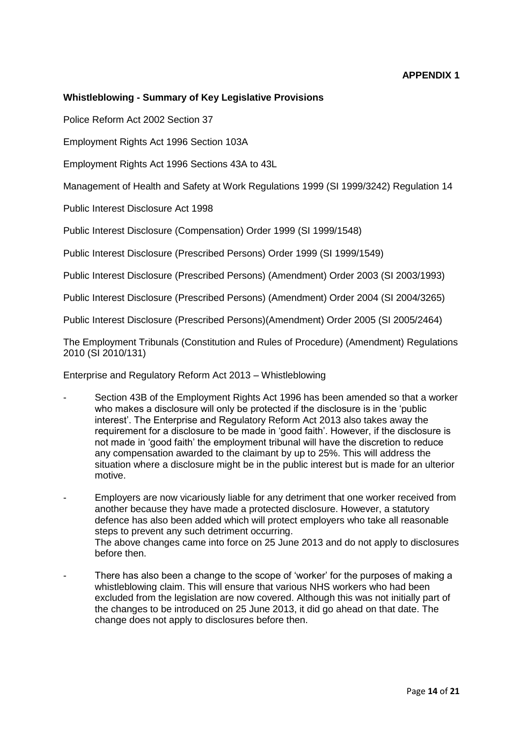#### **Whistleblowing - Summary of Key Legislative Provisions**

Police Reform Act 2002 Section 37

Employment Rights Act 1996 Section 103A

Employment Rights Act 1996 Sections 43A to 43L

Management of Health and Safety at Work Regulations 1999 (SI 1999/3242) Regulation 14

Public Interest Disclosure Act 1998

Public Interest Disclosure (Compensation) Order 1999 (SI 1999/1548)

Public Interest Disclosure (Prescribed Persons) Order 1999 (SI 1999/1549)

Public Interest Disclosure (Prescribed Persons) (Amendment) Order 2003 (SI 2003/1993)

Public Interest Disclosure (Prescribed Persons) (Amendment) Order 2004 (SI 2004/3265)

Public Interest Disclosure (Prescribed Persons)(Amendment) Order 2005 (SI 2005/2464)

The Employment Tribunals (Constitution and Rules of Procedure) (Amendment) Regulations 2010 (SI 2010/131)

Enterprise and Regulatory Reform Act 2013 – Whistleblowing

- Section 43B of the Employment Rights Act 1996 has been amended so that a worker who makes a disclosure will only be protected if the disclosure is in the 'public interest'. The Enterprise and Regulatory Reform Act 2013 also takes away the requirement for a disclosure to be made in 'good faith'. However, if the disclosure is not made in 'good faith' the employment tribunal will have the discretion to reduce any compensation awarded to the claimant by up to 25%. This will address the situation where a disclosure might be in the public interest but is made for an ulterior motive.
- Employers are now vicariously liable for any detriment that one worker received from another because they have made a protected disclosure. However, a statutory defence has also been added which will protect employers who take all reasonable steps to prevent any such detriment occurring. The above changes came into force on 25 June 2013 and do not apply to disclosures before then.
- There has also been a change to the scope of 'worker' for the purposes of making a whistleblowing claim. This will ensure that various NHS workers who had been excluded from the legislation are now covered. Although this was not initially part of the changes to be introduced on 25 June 2013, it did go ahead on that date. The change does not apply to disclosures before then.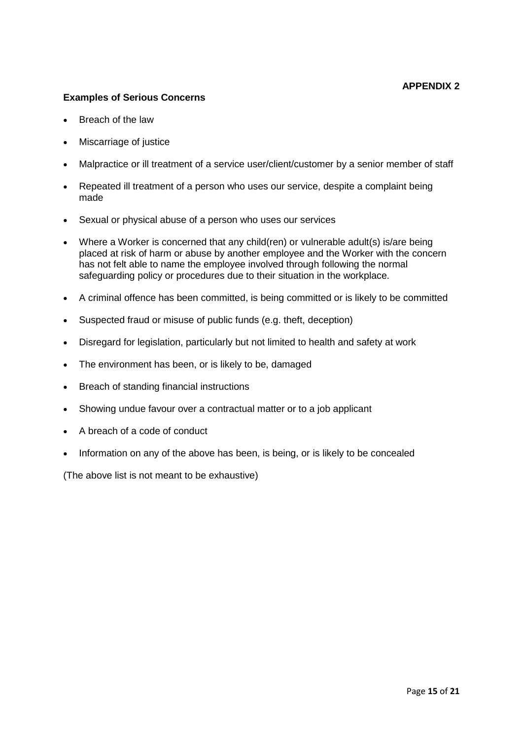## **APPENDIX 2**

## **Examples of Serious Concerns**

- Breach of the law
- Miscarriage of justice
- Malpractice or ill treatment of a service user/client/customer by a senior member of staff
- Repeated ill treatment of a person who uses our service, despite a complaint being made
- Sexual or physical abuse of a person who uses our services
- Where a Worker is concerned that any child(ren) or vulnerable adult(s) is/are being placed at risk of harm or abuse by another employee and the Worker with the concern has not felt able to name the employee involved through following the normal safeguarding policy or procedures due to their situation in the workplace.
- A criminal offence has been committed, is being committed or is likely to be committed
- Suspected fraud or misuse of public funds (e.g. theft, deception)
- Disregard for legislation, particularly but not limited to health and safety at work
- The environment has been, or is likely to be, damaged
- Breach of standing financial instructions
- Showing undue favour over a contractual matter or to a job applicant
- A breach of a code of conduct
- Information on any of the above has been, is being, or is likely to be concealed

(The above list is not meant to be exhaustive)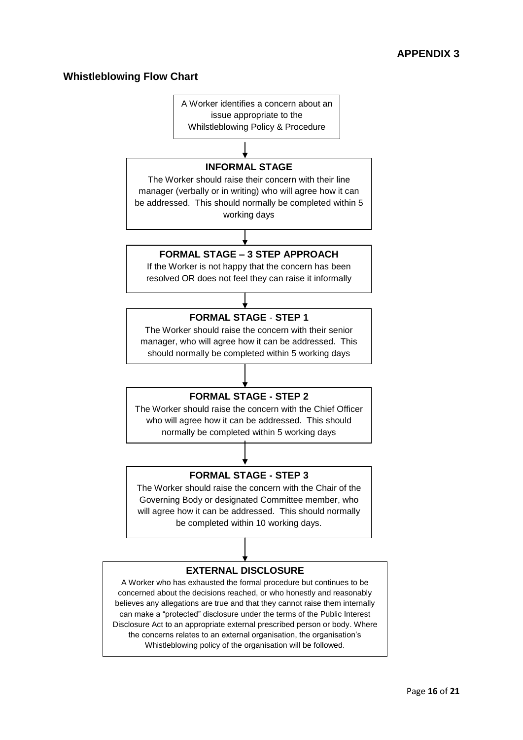## **Whistleblowing Flow Chart**

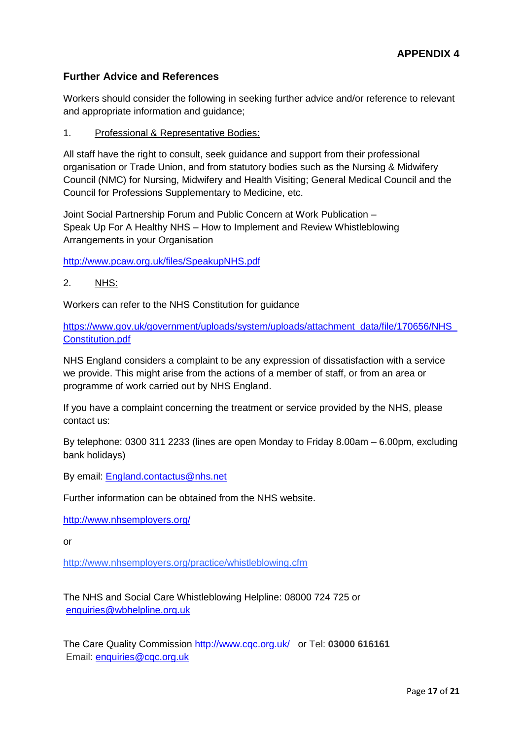## **Further Advice and References**

Workers should consider the following in seeking further advice and/or reference to relevant and appropriate information and guidance;

1. Professional & Representative Bodies:

All staff have the right to consult, seek guidance and support from their professional organisation or Trade Union, and from statutory bodies such as the Nursing & Midwifery Council (NMC) for Nursing, Midwifery and Health Visiting; General Medical Council and the Council for Professions Supplementary to Medicine, etc.

Joint Social Partnership Forum and Public Concern at Work Publication – Speak Up For A Healthy NHS – How to Implement and Review Whistleblowing Arrangements in your Organisation

<http://www.pcaw.org.uk/files/SpeakupNHS.pdf>

2. NHS:

Workers can refer to the NHS Constitution for guidance

https://www.gov.uk/government/uploads/system/uploads/attachment\_data/file/170656/NHS [Constitution.pdf](https://www.gov.uk/government/uploads/system/uploads/attachment_data/file/170656/NHS_Constitution.pdf)

NHS England considers a complaint to be any expression of dissatisfaction with a service we provide. This might arise from the actions of a member of staff, or from an area or programme of work carried out by NHS England.

If you have a complaint concerning the treatment or service provided by the NHS, please contact us:

By telephone: 0300 311 2233 (lines are open Monday to Friday 8.00am – 6.00pm, excluding bank holidays)

By email: [England.contactus@nhs.net](mailto:England.contactus@nhs.net)

Further information can be obtained from the NHS website.

<http://www.nhsemployers.org/>

or

<http://www.nhsemployers.org/practice/whistleblowing.cfm>

The NHS and Social Care Whistleblowing Helpline: 08000 724 725 or [enquiries@wbhelpline.org.uk](mailto:enquiries@wbhelpline.org.uk)

The Care Quality Commission<http://www.cqc.org.uk/>or Tel: **03000 616161** Email: [enquiries@cqc.org.uk](mailto:enquiries@cqc.org.uk?subject=Safeguarding)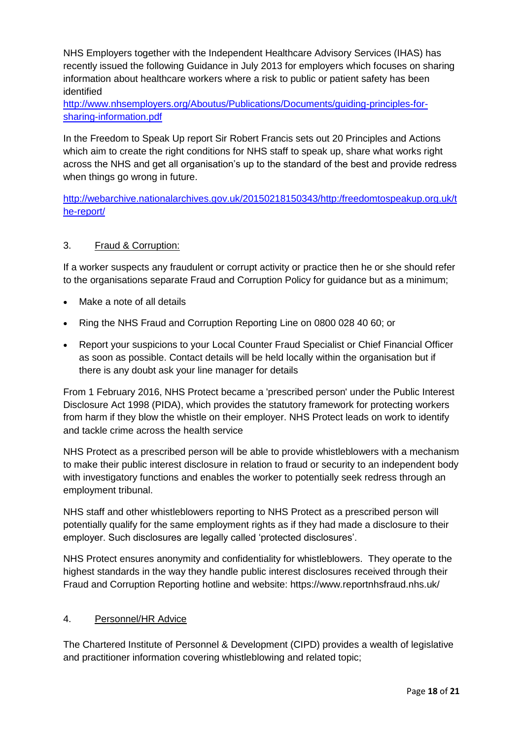NHS Employers together with the Independent Healthcare Advisory Services (IHAS) has recently issued the following Guidance in July 2013 for employers which focuses on sharing information about healthcare workers where a risk to public or patient safety has been identified

[http://www.nhsemployers.org/Aboutus/Publications/Documents/guiding-principles-for](http://www.nhsemployers.org/Aboutus/Publications/Documents/guiding-principles-for-sharing-information.pdf)[sharing-information.pdf](http://www.nhsemployers.org/Aboutus/Publications/Documents/guiding-principles-for-sharing-information.pdf)

In the Freedom to Speak Up report Sir Robert Francis sets out 20 Principles and Actions which aim to create the right conditions for NHS staff to speak up, share what works right across the NHS and get all organisation's up to the standard of the best and provide redress when things go wrong in future.

[http://webarchive.nationalarchives.gov.uk/20150218150343/http:/freedomtospeakup.org.uk/t](http://webarchive.nationalarchives.gov.uk/20150218150343/http:/freedomtospeakup.org.uk/the-report/) [he-report/](http://webarchive.nationalarchives.gov.uk/20150218150343/http:/freedomtospeakup.org.uk/the-report/)

## 3. Fraud & Corruption:

If a worker suspects any fraudulent or corrupt activity or practice then he or she should refer to the organisations separate Fraud and Corruption Policy for guidance but as a minimum;

- Make a note of all details
- Ring the NHS Fraud and Corruption Reporting Line on 0800 028 40 60; or
- Report your suspicions to your Local Counter Fraud Specialist or Chief Financial Officer as soon as possible. Contact details will be held locally within the organisation but if there is any doubt ask your line manager for details

From 1 February 2016, NHS Protect became a 'prescribed person' under the Public Interest Disclosure Act 1998 (PIDA), which provides the statutory framework for protecting workers from harm if they blow the whistle on their employer. NHS Protect leads on work to identify and tackle crime across the health service

NHS Protect as a prescribed person will be able to provide whistleblowers with a mechanism to make their public interest disclosure in relation to fraud or security to an independent body with investigatory functions and enables the worker to potentially seek redress through an employment tribunal.

NHS staff and other whistleblowers reporting to NHS Protect as a prescribed person will potentially qualify for the same employment rights as if they had made a disclosure to their employer. Such disclosures are legally called 'protected disclosures'.

NHS Protect ensures anonymity and confidentiality for whistleblowers. They operate to the highest standards in the way they handle public interest disclosures received through their Fraud and Corruption Reporting hotline and website: https://www.reportnhsfraud.nhs.uk/

## 4. Personnel/HR Advice

The Chartered Institute of Personnel & Development (CIPD) provides a wealth of legislative and practitioner information covering whistleblowing and related topic;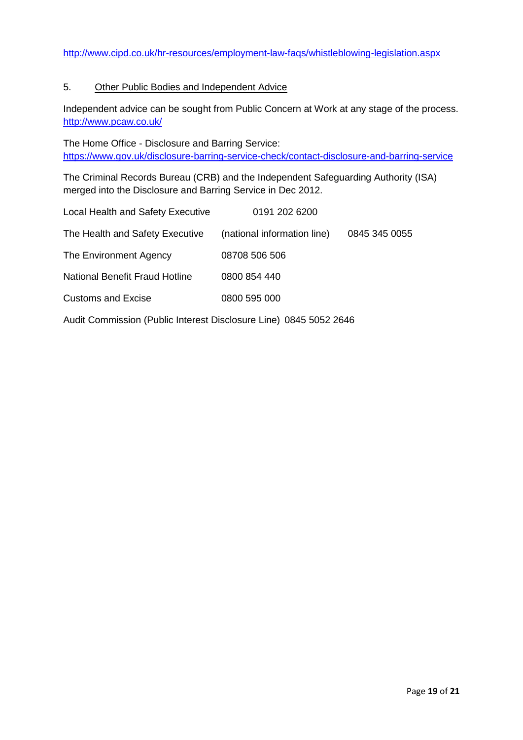<http://www.cipd.co.uk/hr-resources/employment-law-faqs/whistleblowing-legislation.aspx>

## 5. Other Public Bodies and Independent Advice

Independent advice can be sought from Public Concern at Work at any stage of the process. <http://www.pcaw.co.uk/>

The Home Office - Disclosure and Barring Service: <https://www.gov.uk/disclosure-barring-service-check/contact-disclosure-and-barring-service>

The Criminal Records Bureau (CRB) and the Independent Safeguarding Authority (ISA) merged into the Disclosure and Barring Service in Dec 2012.

| <b>Local Health and Safety Executive</b>                                                                                                     | 0191 202 6200               |               |
|----------------------------------------------------------------------------------------------------------------------------------------------|-----------------------------|---------------|
| The Health and Safety Executive                                                                                                              | (national information line) | 0845 345 0055 |
| The Environment Agency                                                                                                                       | 08708 506 506               |               |
| National Benefit Fraud Hotline                                                                                                               | 0800 854 440                |               |
| <b>Customs and Excise</b>                                                                                                                    | 0800 595 000                |               |
| A selling consideration of the latence of $\mathbf{D}$ defines and the set on $\mathbf{A} \mathbf{P}$ and $\mathbf{P} \mathbf{A} \mathbf{P}$ |                             |               |

Audit Commission (Public Interest Disclosure Line) 0845 5052 2646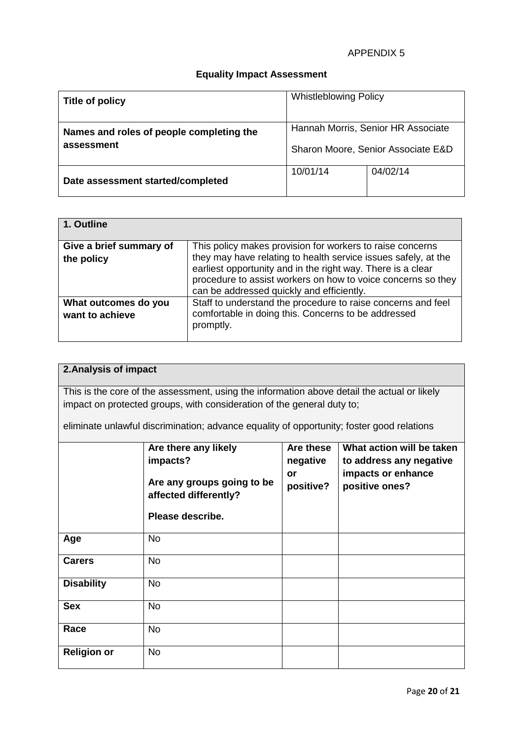## APPENDIX 5

## **Equality Impact Assessment**

| Title of policy                                        | <b>Whistleblowing Policy</b>                                             |          |  |
|--------------------------------------------------------|--------------------------------------------------------------------------|----------|--|
| Names and roles of people completing the<br>assessment | Hannah Morris, Senior HR Associate<br>Sharon Moore, Senior Associate E&D |          |  |
| Date assessment started/completed                      | 10/01/14                                                                 | 04/02/14 |  |

| 1. Outline                              |                                                                                                                                                                                                                                                                                                         |
|-----------------------------------------|---------------------------------------------------------------------------------------------------------------------------------------------------------------------------------------------------------------------------------------------------------------------------------------------------------|
| Give a brief summary of<br>the policy   | This policy makes provision for workers to raise concerns<br>they may have relating to health service issues safely, at the<br>earliest opportunity and in the right way. There is a clear<br>procedure to assist workers on how to voice concerns so they<br>can be addressed quickly and efficiently. |
| What outcomes do you<br>want to achieve | Staff to understand the procedure to raise concerns and feel<br>comfortable in doing this. Concerns to be addressed<br>promptly.                                                                                                                                                                        |

## **2.Analysis of impact**

This is the core of the assessment, using the information above detail the actual or likely impact on protected groups, with consideration of the general duty to;

eliminate unlawful discrimination; advance equality of opportunity; foster good relations

|                    | Are there any likely<br>impacts?<br>Are any groups going to be<br>affected differently?<br>Please describe. | Are these<br>negative<br>or<br>positive? | What action will be taken<br>to address any negative<br>impacts or enhance<br>positive ones? |
|--------------------|-------------------------------------------------------------------------------------------------------------|------------------------------------------|----------------------------------------------------------------------------------------------|
| Age                | No.                                                                                                         |                                          |                                                                                              |
| <b>Carers</b>      | <b>No</b>                                                                                                   |                                          |                                                                                              |
| <b>Disability</b>  | <b>No</b>                                                                                                   |                                          |                                                                                              |
| <b>Sex</b>         | <b>No</b>                                                                                                   |                                          |                                                                                              |
| Race               | <b>No</b>                                                                                                   |                                          |                                                                                              |
| <b>Religion or</b> | <b>No</b>                                                                                                   |                                          |                                                                                              |